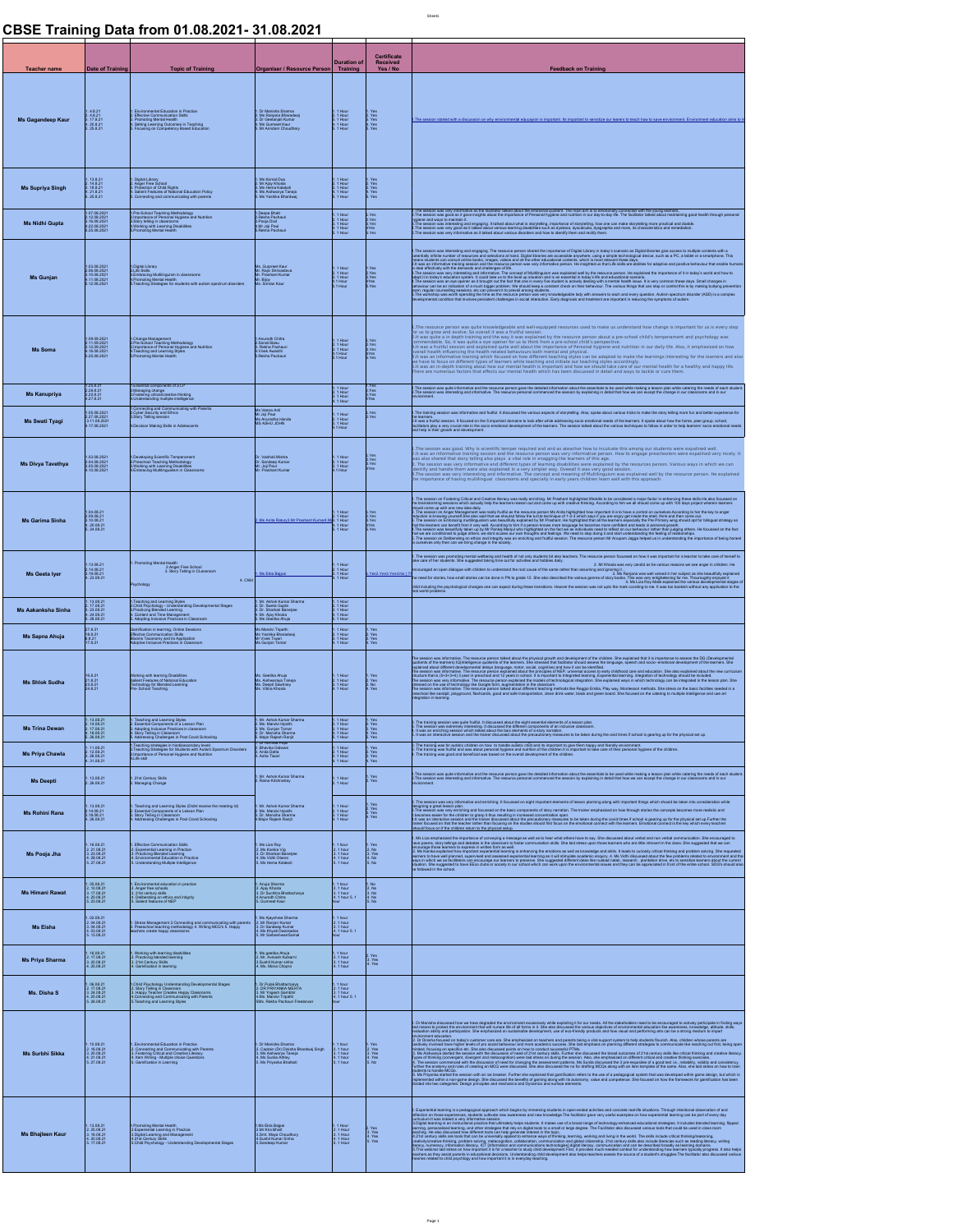## **CBSE Training Data from 01.08.2021- 31.08.2021**

|                                                                                               | Teacher name Date of Training Topic of Training Organiser / Resource Person Training Received Developed Training Topic of Training Topic of Training Topic of Training Topic of Training Topic of Training Topic of Training T                                                                                                                                                                                                                                                                                        |                                                                                                                      |                                                                                                |                                                                                                                                                                                                                                                                                                                                                                                                                                                                        |
|-----------------------------------------------------------------------------------------------|-----------------------------------------------------------------------------------------------------------------------------------------------------------------------------------------------------------------------------------------------------------------------------------------------------------------------------------------------------------------------------------------------------------------------------------------------------------------------------------------------------------------------|----------------------------------------------------------------------------------------------------------------------|------------------------------------------------------------------------------------------------|------------------------------------------------------------------------------------------------------------------------------------------------------------------------------------------------------------------------------------------------------------------------------------------------------------------------------------------------------------------------------------------------------------------------------------------------------------------------|
|                                                                                               |                                                                                                                                                                                                                                                                                                                                                                                                                                                                                                                       |                                                                                                                      |                                                                                                | <b>Example 20 Feedback on Training Committee Committee Committee Committee Committee Committee Committee Committee</b>                                                                                                                                                                                                                                                                                                                                                 |
|                                                                                               | t (1.1921)   (1.1920)<br>Mis Gagandeep Kaur 2:421   Effects consumed Easter Company   (1.1942)   Vol.<br>Mis Gagandeep Kaur 2:421   Christian Company   (1.1942)   (1.1942)<br>Mis Care 2:321   Rossing company of Easter Party   (1.                                                                                                                                                                                                                                                                                 |                                                                                                                      |                                                                                                |                                                                                                                                                                                                                                                                                                                                                                                                                                                                        |
|                                                                                               |                                                                                                                                                                                                                                                                                                                                                                                                                                                                                                                       |                                                                                                                      |                                                                                                |                                                                                                                                                                                                                                                                                                                                                                                                                                                                        |
|                                                                                               |                                                                                                                                                                                                                                                                                                                                                                                                                                                                                                                       |                                                                                                                      |                                                                                                |                                                                                                                                                                                                                                                                                                                                                                                                                                                                        |
|                                                                                               | t (18.21   Doullace Southern Market )<br>Mis Supplya Singh Al-21   2 Apple Fee Southern De Market International De Market International De Market Inter<br>Mis Supplya Singh Al-2121   Al-2009/Parket De Market International Dece                                                                                                                                                                                                                                                                                    |                                                                                                                      |                                                                                                | tey informative as the facilitator talked about the emotional quotient. The main aim is to emotionally connected with the young learners,<br>Yool as it gave insights about the importance of Personal hygiene and rustrion in ou                                                                                                                                                                                                                                      |
|                                                                                               |                                                                                                                                                                                                                                                                                                                                                                                                                                                                                                                       |                                                                                                                      |                                                                                                | hygiene and way to maintain 8.<br>B. The session was intensiting and engaging. It talked about that is stopped to provide the property and maint<br>B. The session was very good as it talked about which provide the substracts of                                                                                                                                                                                                                                    |
|                                                                                               |                                                                                                                                                                                                                                                                                                                                                                                                                                                                                                                       |                                                                                                                      |                                                                                                |                                                                                                                                                                                                                                                                                                                                                                                                                                                                        |
|                                                                                               | o conseitor (popularior)<br>- 2010 2021 - EU SUR MARINARY (popularior)<br>- Mis Gunjan - EU SUR MARINARY (MARINARY EU SUR MARINARY EU SUR MARINARY EU SUR MARINARY EU SUR MARINARY<br>- Mis Gunjan - Prince (popularior) - Prince (pop                                                                                                                                                                                                                                                                                |                                                                                                                      | 1. 1 Hour 1. Yes<br>2. 1 Hour 2. Yes<br>3. 1 Hour 3. Yes<br>4.1 Hour 4. Yes<br>5.1 Hour 5. Yes | . The season was therefore are expected to mean one of the interface of the season in the season in the season of the season of the season of the season of the season of the season of the season of the season of the seaso                                                                                                                                                                                                                                          |
|                                                                                               |                                                                                                                                                                                                                                                                                                                                                                                                                                                                                                                       |                                                                                                                      |                                                                                                |                                                                                                                                                                                                                                                                                                                                                                                                                                                                        |
|                                                                                               | 1.09.09.2021 1. Change Management<br>2.1.09.2021 2.1.09.2021 2. EPe School Teaching Methodology<br>1.6.09.2021 1. Emportance of Personal Hygiera and Nutrition<br>1.5.2.08.2021 5. Promoting Metal Health<br>5.2.08.2021 5. Promoting Meta                                                                                                                                                                                                                                                                            | 1 Anurodh Chitra<br>2 Scenali Basu<br>3. Rekha Pachauri<br>4 Vivek Awasthi<br>5. Rekha Pachauri                      |                                                                                                | a lin depth training and the way it was explained by the resource person about a pre-school child's temperament and psychology was<br>A So, it was quite a gue prepar for us to think from a pre-school child's —————————————————<br>emendable. So, k as quite a py operat for us briefs from a preschod child's perspective.<br>Veral Realth Milancing the health redact behaviour both means and physical. Trystene and nutrition in our daily fite. Also, it emphas |
|                                                                                               |                                                                                                                                                                                                                                                                                                                                                                                                                                                                                                                       |                                                                                                                      |                                                                                                | e nave to notas on univerois types or rearners wine ceacing and intraste our eascnings. accordingly, and have t<br>t was an in-depth training about how our mental health is important and how we should take care of our mental                                                                                                                                                                                                                                       |
|                                                                                               |                                                                                                                                                                                                                                                                                                                                                                                                                                                                                                                       |                                                                                                                      |                                                                                                | 1. The training session was informative and fruitful. It discussed the various aspects of storytelling. Also, spoke about various tricks to make the story telling more fun and better experient                                                                                                                                                                                                                                                                       |
|                                                                                               | the company's company's company's company's                                                                                                                                                                                                                                                                                                                                                                                                                                                                           | Ms Anuradha Handa<br>MS ASHU JOHN                                                                                    |                                                                                                | 2.11 was a finithi session. It found on the 5 important domains to look after while addressing socio emotional needs of the Names. It spoke about how the home, peer group, school,<br>Solitaths play a very crucial role is the                                                                                                                                                                                                                                       |
|                                                                                               | 103.08.2021<br>Ms Divya Tavethya 204.08.2021 2. Preschool feaching Mehiclophogy<br>Ms Divya Tavethya 305.08.2021 3. Working with Learning Disabilities<br>4.10.08.2021 4. Embracing Multilingualism in Classrooms                                                                                                                                                                                                                                                                                                     | Dr. Vaishali Mishra<br>Dr. Sandeep Kumar<br>Mr. Joji Paul<br>Mr. Prashant Kumar                                      |                                                                                                | . The assion was pood. Why is scientific tenper required and assistance form to include this anong our students were experiments. The was an information of the state of the state of the state of the state of the state of t                                                                                                                                                                                                                                         |
|                                                                                               |                                                                                                                                                                                                                                                                                                                                                                                                                                                                                                                       |                                                                                                                      |                                                                                                | rracy was really enriching. Mr Prashant highlighted lifeskils to be considered a major factor in enhancing these skills.He also focus<br>earners reason out and come up with creative thinking. According to him we all should co                                                                                                                                                                                                                                      |
| <b>Ms Garima Sinha</b> $\begin{bmatrix} 2.09.08.21 \\ 3.10.08.21 \\ 4.20.08.21 \end{bmatrix}$ |                                                                                                                                                                                                                                                                                                                                                                                                                                                                                                                       | 2. Ms Anita Ratury 3 Mr Prashant Kumar 4 M 3. 1 F                                                                    |                                                                                                | a The season Angeles Management as naily that as become associated that the season of the season of the season<br>Welcher Howel power the season that we shall identify the Angeles Management is then a search the season of th<br>                                                                                                                                                                                                                                   |
|                                                                                               | <b>1</b><br><b>Ms Geeta lyer</b><br>Ms Geeta lyer<br>2. 200231<br>2. 200231<br>2. 200231<br>2. 200231                                                                                                                                                                                                                                                                                                                                                                                                                 |                                                                                                                      |                                                                                                | .<br>1. The session was promoting mental wellbeing and health of not only students bit also teachers. 1<br>take care of her students. She suggested taking time out for activities and hobbies daily.<br>2. Mr Rhoda was very candid as he wrices we see anger in children. He contrasted the contraste of the same rather than assuming and ignoring it.<br>[1] processing the contrast of the same rather for the same rather than assum                             |
|                                                                                               | <b>Psychology</b>                                                                                                                                                                                                                                                                                                                                                                                                                                                                                                     | 1. Ms Ekta Bajgai 3. 1 Hour                                                                                          | 1. Yes 2. Yes 3.1                                                                              | 3. Ms Ranjana was well versed in her subject as she boutfully explained.<br>The need for stories, how small stories can be done in PN to grade 12. She also described the various genres of story books, This was very entighteni<br>hid including the psychological changes one can expect during these transitions. Howver the session was not upto the mark coording to me. It was too bookish without any application                                              |
|                                                                                               | $\textbf{Ms Aakanksha Sinhha} \begin{tabular}{ c c c c } \hline & \multicolumn{3}{ c }{\textbf{1}} & \multicolumn{3}{ c }{\textbf{1}} & \multicolumn{3}{ c }{\textbf{1}} & \multicolumn{3}{ c }{\textbf{1}} & \multicolumn{3}{ c }{\textbf{1}} & \multicolumn{3}{ c }{\textbf{1}} & \multicolumn{3}{ c }{\textbf{1}} & \multicolumn{3}{ c }{\textbf{1}} & \multicolumn{3}{ c }{\textbf{1}} & \multicolumn{3}{ c }{\textbf{1}} & \multicolumn{3}{$                                                                     |                                                                                                                      |                                                                                                |                                                                                                                                                                                                                                                                                                                                                                                                                                                                        |
| Ms Sapna Ahuja                                                                                | Gamification in learning, Online Sessions<br>Effective Communication Skills<br>Blooms Taxonomy and its Application<br>Adoptive Inclusive Practices in Classroom                                                                                                                                                                                                                                                                                                                                                       | Ms Mandvi Tripathi<br>Ms Yashika Bharadwaj<br>Mr Vivek Triwari<br>Ms Gunjan Tomar                                    | 1.1 Hour<br>2.1 Hour<br>3.1 Hour<br>4.1 Hour                                                   |                                                                                                                                                                                                                                                                                                                                                                                                                                                                        |
|                                                                                               |                                                                                                                                                                                                                                                                                                                                                                                                                                                                                                                       | Ms. Geetika Ahuja<br>Ms. Alshwaraya Taneja<br>Ms. Deepti Sawhney<br>Ms. Vibha Khosla                                 |                                                                                                | he seale was interest in to except provide double gravitation and detection of the discussion of the interest of Digitational Company of the sealed property of the season of the search of the search of the search of the se                                                                                                                                                                                                                                         |
|                                                                                               |                                                                                                                                                                                                                                                                                                                                                                                                                                                                                                                       |                                                                                                                      |                                                                                                |                                                                                                                                                                                                                                                                                                                                                                                                                                                                        |
|                                                                                               |                                                                                                                                                                                                                                                                                                                                                                                                                                                                                                                       |                                                                                                                      | 1.1 Hour<br>2.1 Hour 2.2 Yes<br>3.1 Hour 3.2 Yes<br>4.1 Hour 4.Yes<br>5.1 Hour 5.Yes           | n te spring parav van sam fullel. It discussitéen the plat companie alongs of a server plats.<br>Et the season was consider therebra, it docume the diffused component of an rotation discussion.<br>Et was an interactive season an                                                                                                                                                                                                                                   |
|                                                                                               |                                                                                                                                                                                                                                                                                                                                                                                                                                                                                                                       |                                                                                                                      |                                                                                                | rainng was for aufisic children on how to hande aufisic child and its important to give them happy and filendy enviorment.<br>naming was forthul and was about parsonal hygiens and runtifien the fille end is important to false                                                                                                                                                                                                                                      |
|                                                                                               |                                                                                                                                                                                                                                                                                                                                                                                                                                                                                                                       |                                                                                                                      |                                                                                                |                                                                                                                                                                                                                                                                                                                                                                                                                                                                        |
|                                                                                               | The Priva Chawles and Contact Contact State<br>State of the State of State Contact State<br>State of State Contact State<br>State Contact State Contact State Contact State Contact State Contact State Contact State<br>State Contact                                                                                                                                                                                                                                                                                |                                                                                                                      |                                                                                                | The material in the material and enoting. I housed on eight montant demote d'essor parties paragrame and material money material and material and material and material and material and material and material and material an                                                                                                                                                                                                                                         |
| Ms Pooja Jha                                                                                  | $\begin{array}{lcl} 1.16.0821 & 1.15 \text{Re} \text{Joc} & 1.17 \text{Re} \text{Joc} & 1.17 \text{Re} \text{Joc} \\ 2.21.0821 & 2.15 \text{Re} \text{Joc} & 1.17 \text{Re} \text{Joc} \\ 3.22.0821 & 3.47 \text{Re} \text{Joc} & 1.17 \text{Re} \text{Joc} & 1.17 \text{Re} \text{Joc} \\ 4.28.0821 & 4.15 \text{Im} \text{Joc} & 1.17 \text{Im} \text{Joc$                                                                                                                                                          | 1. Ms Liza Roy<br>2. Ms Kanika Vig<br>3. Dr Sharbari Banerjee<br>4. Ms Vidhi Oberoi<br>5. Ms Hema Kalakoti           |                                                                                                | ). Ms is explased to modificate of converg a message and also have there is as yield document of convertisely converged by the state of the state of the state of the state of the state of the state of the state of the stat                                                                                                                                                                                                                                         |
|                                                                                               |                                                                                                                                                                                                                                                                                                                                                                                                                                                                                                                       | 1. Anuja Sharma<br>2. Ajay Khosla<br>3. Dr Suchina Bhattacharya<br>4. Anunoth Chitra<br>5. Gurmeet Kaur              | 3. 1 hour<br>4. 1 hour 5.                                                                      |                                                                                                                                                                                                                                                                                                                                                                                                                                                                        |
|                                                                                               |                                                                                                                                                                                                                                                                                                                                                                                                                                                                                                                       |                                                                                                                      |                                                                                                |                                                                                                                                                                                                                                                                                                                                                                                                                                                                        |
|                                                                                               |                                                                                                                                                                                                                                                                                                                                                                                                                                                                                                                       | <u> 1989 - Jan Salaman, masjid a shekara ta 1989 - Jan Salaman a shekara ta 1989 - Jan Salaman a shekara ta 1981</u> |                                                                                                |                                                                                                                                                                                                                                                                                                                                                                                                                                                                        |
|                                                                                               | $\textbf{Ms} \textbf{Priya} \textbf{Sharma} \begin{tabular}{l c c c} \multicolumn{2}{c}{\textbf{1: } 0.01 & \multicolumn{2}{c}{\textbf{1: } 0.02 & \multicolumn{2}{c}{\textbf{1: } 0.02 & \multicolumn{2}{c}{\textbf{1: } 0.02 & \multicolumn{2}{c}{\textbf{1: } 0.02 & \multicolumn{2}{c}{\textbf{1: } 0.02 & \multicolumn{2}{c}{\textbf{1: } 0.02 & \multicolumn{2}{c}{\textbf{1: } 0.02 & \multicolumn{2}{c}{$                                                                                                     |                                                                                                                      | 1. 1 hour<br>2. 1 hour<br>3. 1 hour<br>4. 1 hour<br>4. Yes                                     |                                                                                                                                                                                                                                                                                                                                                                                                                                                                        |
|                                                                                               |                                                                                                                                                                                                                                                                                                                                                                                                                                                                                                                       |                                                                                                                      |                                                                                                |                                                                                                                                                                                                                                                                                                                                                                                                                                                                        |
|                                                                                               |                                                                                                                                                                                                                                                                                                                                                                                                                                                                                                                       |                                                                                                                      |                                                                                                |                                                                                                                                                                                                                                                                                                                                                                                                                                                                        |
|                                                                                               |                                                                                                                                                                                                                                                                                                                                                                                                                                                                                                                       |                                                                                                                      |                                                                                                | . Durants descade los es has degrados environmi escalar el següente de sension de la constantino de la constantino de la constantino de la constantino de la constantino de la constantino de la constantino de la constantin                                                                                                                                                                                                                                          |
|                                                                                               |                                                                                                                                                                                                                                                                                                                                                                                                                                                                                                                       |                                                                                                                      |                                                                                                | hands MCDs.<br>Ya stated the session with an ice breaker. Further she replained that spanished more than the security of the stated that the stated than the stated within game design, but<br>I sathra non-game design Dire decouse                                                                                                                                                                                                                                   |
|                                                                                               |                                                                                                                                                                                                                                                                                                                                                                                                                                                                                                                       |                                                                                                                      |                                                                                                | ). Experimental teaming a parameter and the base is provided in the constant states and constant and the state of the state of the state of the state of the state of the state of the state of the state of the state of the                                                                                                                                                                                                                                          |
|                                                                                               | $\textbf{Ms Bhal}[\textbf{een Kaur} \qquad \begin{tabular}{lcccc} \multicolumn{2}{c}{1.5\textwidth} \begin{tabular}{lcccc} \multicolumn{2}{c}{1.5\textwidth} \begin{tabular}{lcccc} \multicolumn{2}{c}{1.5\textwidth} \begin{tabular}{lcccc} \multicolumn{2}{c}{1.5\textwidth} \begin{tabular}{lcccc} \multicolumn{2}{c}{1.5\textwidth} \begin{tabular}{lcccc} \multicolumn{2}{c}{0.5\textwidth} \begin{tabular}{lcccc} \multicolumn{2}{c}{0.5\textwidth} \begin{tabular}{lcccc} \multicolumn{2}{c}{0.5\textwidth} \$ |                                                                                                                      |                                                                                                |                                                                                                                                                                                                                                                                                                                                                                                                                                                                        |

Sheet1